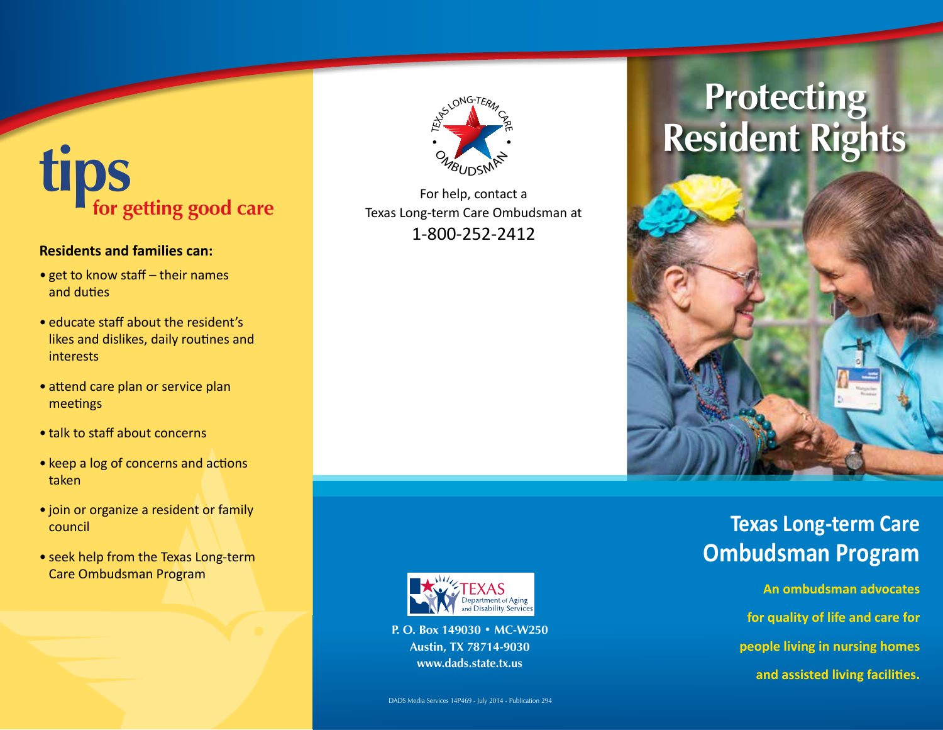# **tips for getting good care**

#### **Residents and families can:**

- get to know staff their names and duties
- educate staff about the resident's likes and dislikes, daily routines and interests
- attend care plan or service plan meetings
- talk to staff about concerns
- keep a log of concerns and actions taken
- join or organize a resident or family council
- seek help from the Texas Long-term Care Ombudsman Program



### For help, contact a Texas Long-term Care Ombudsman at 1-800-252-2412





**An ombudsman advocates for quality of life and care for people living in nursing homes and assisted living facilities.**



**P. O. Box 149030 • MC-W250 Austin, TX 78714-9030 www.dads.state.tx.us**